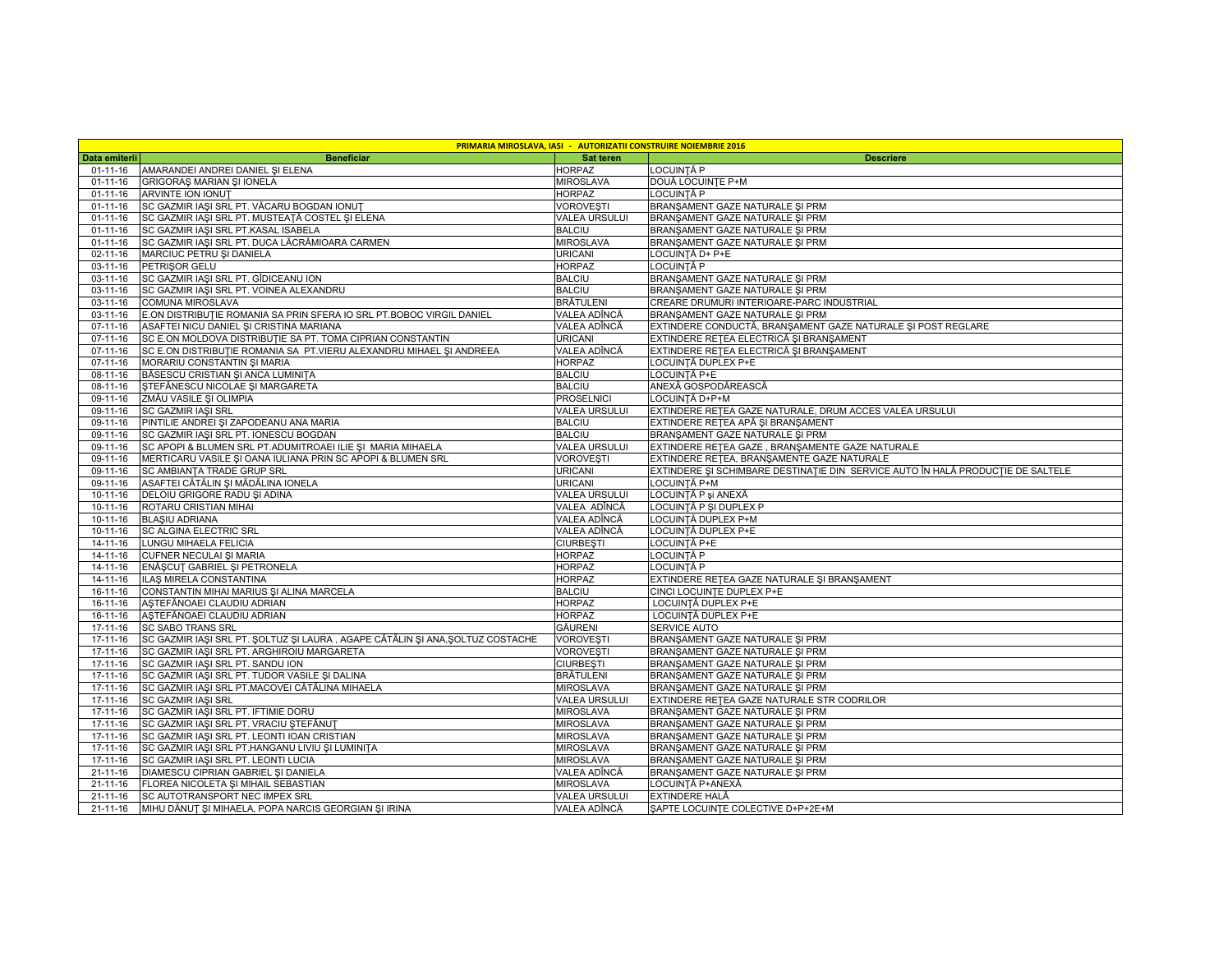|                | <b>PRIMARIA MIROSLAVA, IASI - AUTORIZATII CONSTRUIRE NOIEMBRIE 2016</b>       |                      |                                                                                  |  |  |  |
|----------------|-------------------------------------------------------------------------------|----------------------|----------------------------------------------------------------------------------|--|--|--|
| Data emiterii  | <b>Beneficiar</b>                                                             | Sat teren            | <b>Descriere</b>                                                                 |  |  |  |
| $01 - 11 - 16$ | AMARANDEI ANDREI DANIEL ȘI ELENA                                              | <b>HORPAZ</b>        | LOCUINTĂ P                                                                       |  |  |  |
| $01 - 11 - 16$ | GRIGORAS MARIAN SI IONELA                                                     | <b>MIROSLAVA</b>     | DOUĂ LOCUINȚE P+M                                                                |  |  |  |
| $01 - 11 - 16$ | <b>ARVINTE ION IONUT</b>                                                      | <b>HORPAZ</b>        | LOCUINTĂ P                                                                       |  |  |  |
| $01 - 11 - 16$ | SC GAZMIR IAȘI SRL PT. VĂCARU BOGDAN IONUȚ                                    | <b>VOROVESTI</b>     | BRANŞAMENT GAZE NATURALE ŞI PRM                                                  |  |  |  |
| $01 - 11 - 16$ | SC GAZMIR IAȘI SRL PT. MUSTEAȚĂ COSTEL ȘI ELENA                               | <b>VALEA URSULUI</b> | BRANSAMENT GAZE NATURALE SI PRM                                                  |  |  |  |
| $01 - 11 - 16$ | SC GAZMIR IAȘI SRL PT.KASAL ISABELA                                           | <b>BALCIU</b>        | BRANSAMENT GAZE NATURALE SI PRM                                                  |  |  |  |
| $01 - 11 - 16$ | SC GAZMIR IAȘI SRL PT. DUCA LĂCRĂMIOARA CARMEN                                | <b>MIROSLAVA</b>     | BRANŞAMENT GAZE NATURALE ŞI PRM                                                  |  |  |  |
| $02 - 11 - 16$ | MARCIUC PETRU ȘI DANIELA                                                      | <b>URICANI</b>       | LOCUINȚĂ D+ P+E                                                                  |  |  |  |
| 03-11-16       | <b>PETRISOR GELU</b>                                                          | <b>HORPAZ</b>        | LOCUINTĂ P                                                                       |  |  |  |
| 03-11-16       | SC GAZMIR IASI SRL PT. GÎDICEANU ION                                          | <b>BALCIU</b>        | BRANSAMENT GAZE NATURALE SI PRM                                                  |  |  |  |
| 03-11-16       | SC GAZMIR IAȘI SRL PT. VOINEA ALEXANDRU                                       | <b>BALCIU</b>        | BRANŞAMENT GAZE NATURALE ŞI PRM                                                  |  |  |  |
| 03-11-16       | COMUNA MIROSLAVA                                                              | <b>BRĂTULENI</b>     | CREARE DRUMURI INTERIOARE-PARC INDUSTRIAL                                        |  |  |  |
| $03 - 11 - 16$ | E.ON DISTRIBUTIE ROMANIA SA PRIN SFERA IO SRL PT.BOBOC VIRGIL DANIEL          | VALEA ADÎNCĂ         | BRANSAMENT GAZE NATURALE SI PRM                                                  |  |  |  |
| $07-11-16$     | ASAFTEI NICU DANIEL ȘI CRISTINA MARIANA                                       | VALEA ADÎNCĂ         | EXTINDERE CONDUCTĂ, BRANSAMENT GAZE NATURALE ȘI POST REGLARE                     |  |  |  |
| 07-11-16       | SC E.ON MOLDOVA DISTRIBUTIE SA PT. TOMA CIPRIAN CONSTANTIN                    | <b>URICANI</b>       | EXTINDERE RETEA ELECTRICĂ ȘI BRANȘAMENT                                          |  |  |  |
| 07-11-16       | SC E.ON DISTRIBUTIE ROMANIA SA PT.VIERU ALEXANDRU MIHAEL ȘI ANDREEA           | VALEA ADÎNCĂ         | EXTINDERE REȚEA ELECTRICĂ ȘI BRANȘAMENT                                          |  |  |  |
| $07 - 11 - 16$ | MORARIU CONSTANTIN ȘI MARIA                                                   | <b>HORPAZ</b>        | LOCUINȚĂ DUPLEX P+E                                                              |  |  |  |
| 08-11-16       | BĂSESCU CRISTIAN ȘI ANCA LUMINIȚA                                             | <b>BALCIU</b>        | LOCUINȚĂ P+E                                                                     |  |  |  |
| 08-11-16       | STEFĂNESCU NICOLAE ȘI MARGARETA                                               | <b>BALCIU</b>        | ANEXĂ GOSPODĂREASCĂ                                                              |  |  |  |
| 09-11-16       | ZMĂU VASILE ȘI OLIMPIA                                                        | <b>PROSELNICI</b>    | LOCUINȚĂ D+P+M                                                                   |  |  |  |
| 09-11-16       | <b>SC GAZMIR IASI SRL</b>                                                     | <b>VALEA URSULUI</b> | EXTINDERE REȚEA GAZE NATURALE, DRUM ACCES VALEA URSULUI                          |  |  |  |
| 09-11-16       | PINTILIE ANDREI ȘI ZAPODEANU ANA MARIA                                        | <b>BALCIU</b>        | EXTINDERE RETEA APĂ ȘI BRANȘAMENT                                                |  |  |  |
| 09-11-16       | SC GAZMIR IASI SRL PT. IONESCU BOGDAN                                         | <b>BALCIU</b>        | BRANSAMENT GAZE NATURALE SI PRM                                                  |  |  |  |
| 09-11-16       | SC APOPI & BLUMEN SRL PT.ADUMITROAEI ILIE ȘI MARIA MIHAELA                    | <b>VALEA URSULUI</b> | EXTINDERE RETEA GAZE, BRANȘAMENTE GAZE NATURALE                                  |  |  |  |
| $09 - 11 - 16$ | MERTICARU VASILE ȘI OANA IULIANA PRIN SC APOPI & BLUMEN SRL                   | <b>VOROVESTI</b>     | EXTINDERE RETEA, BRANŞAMENTE GAZE NATURALE                                       |  |  |  |
| 09-11-16       | SC AMBIANTA TRADE GRUP SRL                                                    | <b>URICANI</b>       | EXTINDERE ȘI SCHIMBARE DESTINAȚIE DIN  SERVICE AUTO ÎN HALĂ PRODUCȚIE DE SALTELE |  |  |  |
| 09-11-16       | ASAFTEI CĂTĂLIN ȘI MĂDĂLINA IONELA                                            | <b>URICANI</b>       | LOCUINȚĂ P+M                                                                     |  |  |  |
| 10-11-16       | DELOIU GRIGORE RADU ȘI ADINA                                                  | <b>VALEA URSULUI</b> | LOCUINȚĂ P și ANEXĂ                                                              |  |  |  |
| $10 - 11 - 16$ | ROTARU CRISTIAN MIHAI                                                         | VALEA ADÎNCĂ         | LOCUINȚĂ P ȘI DUPLEX P                                                           |  |  |  |
| 10-11-16       | <b>BLASIU ADRIANA</b>                                                         | VALEA ADÎNCĂ         | LOCUINȚĂ DUPLEX P+M                                                              |  |  |  |
| $10 - 11 - 16$ | <b>SC ALGINA ELECTRIC SRL</b>                                                 | VALEA ADÎNCĂ         | LOCUINȚĂ DUPLEX P+E                                                              |  |  |  |
| $14 - 11 - 16$ | LUNGU MIHAELA FELICIA                                                         | <b>CIURBESTI</b>     | LOCUINTĂ P+E                                                                     |  |  |  |
| 14-11-16       | CUFNER NECULAI ȘI MARIA                                                       | <b>HORPAZ</b>        | LOCUINTĂ P                                                                       |  |  |  |
| 14-11-16       | ENĂȘCUȚ GABRIEL ȘI PETRONELA                                                  | <b>HORPAZ</b>        | LOCUINTĂ P                                                                       |  |  |  |
| $14 - 11 - 16$ | ILAŞ MIRELA CONSTANTINA                                                       | <b>HORPAZ</b>        | EXTINDERE RETEA GAZE NATURALE ȘI BRANȘAMENT                                      |  |  |  |
| $16 - 11 - 16$ | CONSTANTIN MIHAI MARIUS ȘI ALINA MARCELA                                      | <b>BALCIU</b>        | CINCI LOCUINTE DUPLEX P+E                                                        |  |  |  |
| 16-11-16       | AȘTEFĂNOAEI CLAUDIU ADRIAN                                                    | <b>HORPAZ</b>        | LOCUINȚĂ DUPLEX P+E                                                              |  |  |  |
| 16-11-16       | AȘTEFĂNOAEI CLAUDIU ADRIAN                                                    | <b>HORPAZ</b>        | LOCUINȚĂ DUPLEX P+E                                                              |  |  |  |
| 17-11-16       | <b>SC SABO TRANS SRL</b>                                                      | GĂURENI              | SERVICE AUTO                                                                     |  |  |  |
| 17-11-16       | SC GAZMIR IAȘI SRL PT. ȘOLTUZ ȘI LAURA, AGAPE CĂTĂLIN ȘI ANA, SOLTUZ COSTACHE | <b>VOROVESTI</b>     | BRANŞAMENT GAZE NATURALE ŞI PRM                                                  |  |  |  |
| $17 - 11 - 16$ | SC GAZMIR IAȘI SRL PT. ARGHIROIU MARGARETA                                    | VOROVEȘTI            | BRANŞAMENT GAZE NATURALE ŞI PRM                                                  |  |  |  |
| $17 - 11 - 16$ | SC GAZMIR IASI SRL PT. SANDU ION                                              | <b>CIURBEȘTI</b>     | BRANSAMENT GAZE NATURALE SI PRM                                                  |  |  |  |
| 17-11-16       | SC GAZMIR IAȘI SRL PT. TUDOR VASILE ȘI DALINA                                 | <b>BRÄTULENI</b>     | BRANŞAMENT GAZE NATURALE ŞI PRM                                                  |  |  |  |
| $17-11-16$     | SC GAZMIR IAȘI SRL PT.MACOVEI CĂTĂLINA MIHAELA                                | <b>MIROSLAVA</b>     | BRANSAMENT GAZE NATURALE SI PRM                                                  |  |  |  |
| 17-11-16       | <b>SC GAZMIR IASI SRL</b>                                                     | <b>VALEA URSULUI</b> | EXTINDERE RETEA GAZE NATURALE STR CODRILOR                                       |  |  |  |
| $17 - 11 - 16$ | SC GAZMIR IAȘI SRL PT. IFTIMIE DORU                                           | <b>MIROSLAVA</b>     | BRANŞAMENT GAZE NATURALE ŞI PRM                                                  |  |  |  |
| $17-11-16$     | SC GAZMIR IAȘI SRL PT. VRACIU ȘTEFĂNUȚ                                        | <b>MIROSLAVA</b>     | BRANŞAMENT GAZE NATURALE ŞI PRM                                                  |  |  |  |
| 17-11-16       | SC GAZMIR IAȘI SRL PT. LEONTI IOAN CRISTIAN                                   | <b>MIROSLAVA</b>     | BRANŞAMENT GAZE NATURALE ŞI PRM                                                  |  |  |  |
| $17-11-16$     | SC GAZMIR IAŞI SRL PT.HANGANU LIVIU ŞI LUMINITA                               | <b>MIROSLAVA</b>     | BRANŞAMENT GAZE NATURALE ŞI PRM                                                  |  |  |  |
| $17 - 11 - 16$ | SC GAZMIR IAȘI SRL PT. LEONTI LUCIA                                           | <b>MIROSLAVA</b>     | BRANŞAMENT GAZE NATURALE ŞI PRM                                                  |  |  |  |
| $21 - 11 - 16$ | DIAMESCU CIPRIAN GABRIEL ȘI DANIELA                                           | VALEA ADÎNCĂ         | BRANŞAMENT GAZE NATURALE ŞI PRM                                                  |  |  |  |
| $21 - 11 - 16$ | FLOREA NICOLETA ȘI MIHAIL SEBASTIAN                                           | <b>MIROSLAVA</b>     | LOCUINȚĂ P+ANEXĂ                                                                 |  |  |  |
| $21 - 11 - 16$ | SC AUTOTRANSPORT NEC IMPEX SRL                                                | <b>VALEA URSULUI</b> | EXTINDERE HALĂ                                                                   |  |  |  |
| 21-11-16       | MIHU DĂNUȚ ȘI MIHAELA, POPA NARCIS GEORGIAN ȘI IRINA                          | VALEA ADÎNCĂ         | SAPTE LOCUINTE COLECTIVE D+P+2E+M                                                |  |  |  |